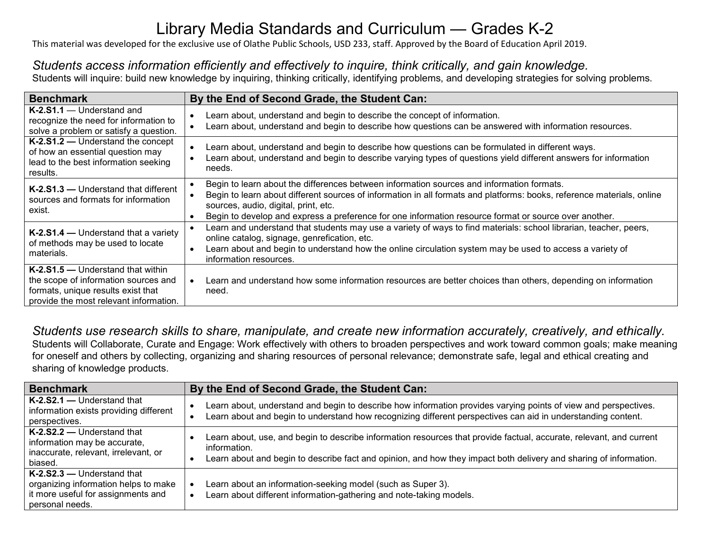# Library Media Standards and Curriculum — Grades K-2

This material was developed for the exclusive use of Olathe Public Schools, USD 233, staff. Approved by the Board of Education April 2019.

## *Students access information efficiently and effectively to inquire, think critically, and gain knowledge.*

Students will inquire: build new knowledge by inquiring, thinking critically, identifying problems, and developing strategies for solving problems.

| <b>Benchmark</b>                                                                                                                                          | By the End of Second Grade, the Student Can:                                                                                                                                                                                                                                                                                                                         |
|-----------------------------------------------------------------------------------------------------------------------------------------------------------|----------------------------------------------------------------------------------------------------------------------------------------------------------------------------------------------------------------------------------------------------------------------------------------------------------------------------------------------------------------------|
| K-2.S1.1 - Understand and<br>recognize the need for information to<br>solve a problem or satisfy a question.                                              | Learn about, understand and begin to describe the concept of information.<br>Learn about, understand and begin to describe how questions can be answered with information resources.                                                                                                                                                                                 |
| K-2.S1.2 - Understand the concept<br>of how an essential question may<br>lead to the best information seeking<br>results.                                 | Learn about, understand and begin to describe how questions can be formulated in different ways.<br>Learn about, understand and begin to describe varying types of questions yield different answers for information<br>needs.                                                                                                                                       |
| K-2.S1.3 – Understand that different<br>sources and formats for information<br>exist.                                                                     | Begin to learn about the differences between information sources and information formats.<br>Begin to learn about different sources of information in all formats and platforms: books, reference materials, online<br>sources, audio, digital, print, etc.<br>Begin to develop and express a preference for one information resource format or source over another. |
| K-2.S1.4 – Understand that a variety<br>of methods may be used to locate<br>materials.                                                                    | Learn and understand that students may use a variety of ways to find materials: school librarian, teacher, peers,<br>online catalog, signage, genrefication, etc.<br>Learn about and begin to understand how the online circulation system may be used to access a variety of<br>information resources.                                                              |
| K-2.S1.5 - Understand that within<br>the scope of information sources and<br>formats, unique results exist that<br>provide the most relevant information. | Learn and understand how some information resources are better choices than others, depending on information<br>need.                                                                                                                                                                                                                                                |

*Students use research skills to share, manipulate, and create new information accurately, creatively, and ethically.* Students will Collaborate, Curate and Engage: Work effectively with others to broaden perspectives and work toward common goals; make meaning for oneself and others by collecting, organizing and sharing resources of personal relevance; demonstrate safe, legal and ethical creating and sharing of knowledge products.

| <b>Benchmark</b>                                                                                                            | By the End of Second Grade, the Student Can:                                                                                                                                                                                                             |
|-----------------------------------------------------------------------------------------------------------------------------|----------------------------------------------------------------------------------------------------------------------------------------------------------------------------------------------------------------------------------------------------------|
| K-2.S2.1 - Understand that<br>information exists providing different<br>perspectives.                                       | Learn about, understand and begin to describe how information provides varying points of view and perspectives.<br>Learn about and begin to understand how recognizing different perspectives can aid in understanding content.                          |
| K-2.S2.2 - Understand that<br>information may be accurate,<br>inaccurate, relevant, irrelevant, or<br>biased.               | Learn about, use, and begin to describe information resources that provide factual, accurate, relevant, and current<br>information.<br>Learn about and begin to describe fact and opinion, and how they impact both delivery and sharing of information. |
| K-2.S2.3 - Understand that<br>organizing information helps to make<br>it more useful for assignments and<br>personal needs. | Learn about an information-seeking model (such as Super 3).<br>Learn about different information-gathering and note-taking models.                                                                                                                       |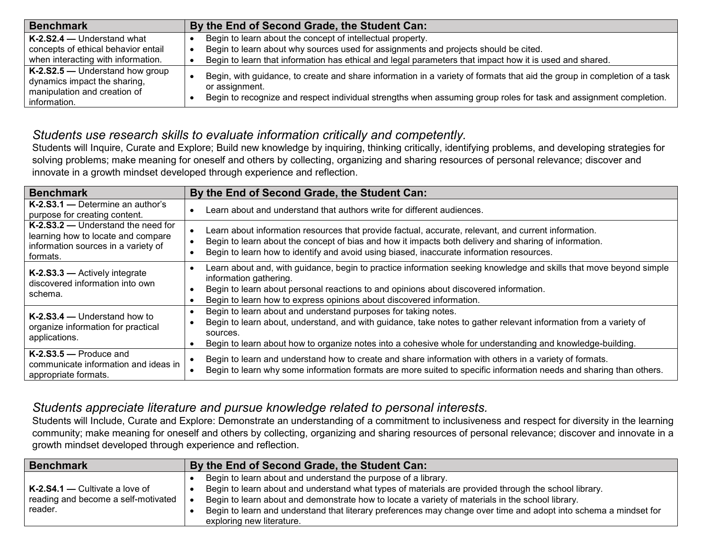| <b>Benchmark</b>                                                                                                   | By the End of Second Grade, the Student Can:                                                                                                                                                                                                                    |
|--------------------------------------------------------------------------------------------------------------------|-----------------------------------------------------------------------------------------------------------------------------------------------------------------------------------------------------------------------------------------------------------------|
| $K-2.S2.4$ – Understand what                                                                                       | Begin to learn about the concept of intellectual property.                                                                                                                                                                                                      |
| concepts of ethical behavior entail                                                                                | Begin to learn about why sources used for assignments and projects should be cited.                                                                                                                                                                             |
| when interacting with information.                                                                                 | Begin to learn that information has ethical and legal parameters that impact how it is used and shared.                                                                                                                                                         |
| $K-2.$ S2.5 – Understand how group<br>dynamics impact the sharing,<br>manipulation and creation of<br>information. | Begin, with guidance, to create and share information in a variety of formats that aid the group in completion of a task<br>or assignment.<br>Begin to recognize and respect individual strengths when assuming group roles for task and assignment completion. |

### *Students use research skills to evaluate information critically and competently.*

Students will Inquire, Curate and Explore; Build new knowledge by inquiring, thinking critically, identifying problems, and developing strategies for solving problems; make meaning for oneself and others by collecting, organizing and sharing resources of personal relevance; discover and innovate in a growth mindset developed through experience and reflection.

| <b>Benchmark</b>                                                                                                            | By the End of Second Grade, the Student Can:                                                                                                                                                                                                                                                                  |
|-----------------------------------------------------------------------------------------------------------------------------|---------------------------------------------------------------------------------------------------------------------------------------------------------------------------------------------------------------------------------------------------------------------------------------------------------------|
| $K-2.S3.1$ — Determine an author's<br>purpose for creating content.                                                         | Learn about and understand that authors write for different audiences.                                                                                                                                                                                                                                        |
| K-2.S3.2 - Understand the need for<br>learning how to locate and compare<br>information sources in a variety of<br>formats. | Learn about information resources that provide factual, accurate, relevant, and current information.<br>Begin to learn about the concept of bias and how it impacts both delivery and sharing of information.<br>Begin to learn how to identify and avoid using biased, inaccurate information resources.     |
| K-2.S3.3 - Actively integrate<br>discovered information into own<br>schema.                                                 | Learn about and, with guidance, begin to practice information seeking knowledge and skills that move beyond simple<br>information gathering.<br>Begin to learn about personal reactions to and opinions about discovered information.<br>Begin to learn how to express opinions about discovered information. |
| $K-2.S3.4$ — Understand how to<br>organize information for practical<br>applications.                                       | Begin to learn about and understand purposes for taking notes.<br>Begin to learn about, understand, and with guidance, take notes to gather relevant information from a variety of<br>sources.<br>Begin to learn about how to organize notes into a cohesive whole for understanding and knowledge-building.  |
| $K-2.53.5$ - Produce and<br>communicate information and ideas in<br>appropriate formats.                                    | Begin to learn and understand how to create and share information with others in a variety of formats.<br>Begin to learn why some information formats are more suited to specific information needs and sharing than others.                                                                                  |

### *Students appreciate literature and pursue knowledge related to personal interests.*

Students will Include, Curate and Explore: Demonstrate an understanding of a commitment to inclusiveness and respect for diversity in the learning community; make meaning for oneself and others by collecting, organizing and sharing resources of personal relevance; discover and innovate in a growth mindset developed through experience and reflection.

| <b>Benchmark</b>                    | By the End of Second Grade, the Student Can:                                                                     |
|-------------------------------------|------------------------------------------------------------------------------------------------------------------|
|                                     | Begin to learn about and understand the purpose of a library.                                                    |
| $K-2.S4.1$ – Cultivate a love of    | Begin to learn about and understand what types of materials are provided through the school library.             |
| reading and become a self-motivated | Begin to learn about and demonstrate how to locate a variety of materials in the school library.                 |
| reader.                             | Begin to learn and understand that literary preferences may change over time and adopt into schema a mindset for |
|                                     | exploring new literature.                                                                                        |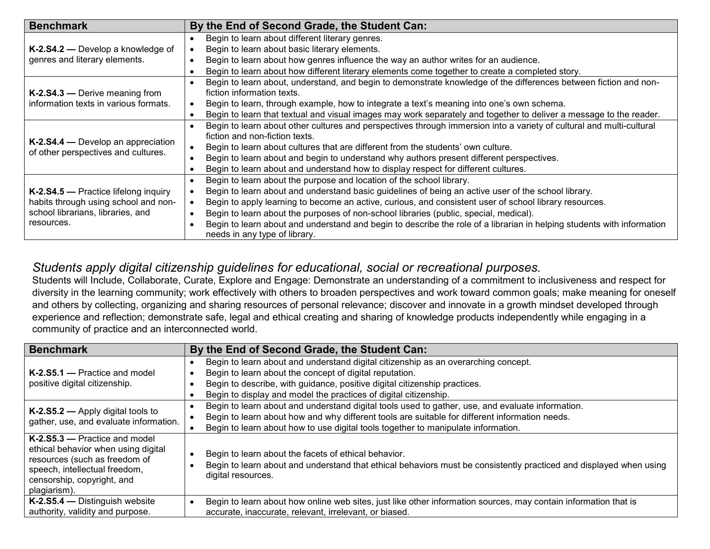| <b>Benchmark</b>                                                                                                                | By the End of Second Grade, the Student Can:                                                                           |
|---------------------------------------------------------------------------------------------------------------------------------|------------------------------------------------------------------------------------------------------------------------|
| K-2.S4.2 - Develop a knowledge of<br>genres and literary elements.                                                              | Begin to learn about different literary genres.                                                                        |
|                                                                                                                                 | Begin to learn about basic literary elements.                                                                          |
|                                                                                                                                 | Begin to learn about how genres influence the way an author writes for an audience.                                    |
|                                                                                                                                 | Begin to learn about how different literary elements come together to create a completed story.                        |
|                                                                                                                                 | Begin to learn about, understand, and begin to demonstrate knowledge of the differences between fiction and non-       |
| K-2.S4.3 - Derive meaning from                                                                                                  | fiction information texts.                                                                                             |
| information texts in various formats.                                                                                           | Begin to learn, through example, how to integrate a text's meaning into one's own schema.                              |
|                                                                                                                                 | Begin to learn that textual and visual images may work separately and together to deliver a message to the reader.     |
| K-2.S4.4 – Develop an appreciation                                                                                              | Begin to learn about other cultures and perspectives through immersion into a variety of cultural and multi-cultural   |
|                                                                                                                                 | fiction and non-fiction texts.                                                                                         |
| of other perspectives and cultures.                                                                                             | Begin to learn about cultures that are different from the students' own culture.                                       |
|                                                                                                                                 | Begin to learn about and begin to understand why authors present different perspectives.                               |
|                                                                                                                                 | Begin to learn about and understand how to display respect for different cultures.                                     |
| K-2.S4.5 - Practice lifelong inquiry<br>habits through using school and non-<br>school librarians, libraries, and<br>resources. | Begin to learn about the purpose and location of the school library.                                                   |
|                                                                                                                                 | Begin to learn about and understand basic guidelines of being an active user of the school library.                    |
|                                                                                                                                 | Begin to apply learning to become an active, curious, and consistent user of school library resources.                 |
|                                                                                                                                 | Begin to learn about the purposes of non-school libraries (public, special, medical).                                  |
|                                                                                                                                 | Begin to learn about and understand and begin to describe the role of a librarian in helping students with information |
|                                                                                                                                 | needs in any type of library.                                                                                          |

#### *Students apply digital citizenship guidelines for educational, social or recreational purposes.*

Students will Include, Collaborate, Curate, Explore and Engage: Demonstrate an understanding of a commitment to inclusiveness and respect for diversity in the learning community; work effectively with others to broaden perspectives and work toward common goals; make meaning for oneself and others by collecting, organizing and sharing resources of personal relevance; discover and innovate in a growth mindset developed through experience and reflection; demonstrate safe, legal and ethical creating and sharing of knowledge products independently while engaging in a community of practice and an interconnected world.

| <b>Benchmark</b>                                                                                                                                                                       | By the End of Second Grade, the Student Can:                                                                                                                                                                                                                                                   |
|----------------------------------------------------------------------------------------------------------------------------------------------------------------------------------------|------------------------------------------------------------------------------------------------------------------------------------------------------------------------------------------------------------------------------------------------------------------------------------------------|
| $K-2.55.1$ - Practice and model<br>positive digital citizenship.                                                                                                                       | Begin to learn about and understand digital citizenship as an overarching concept.<br>Begin to learn about the concept of digital reputation.<br>Begin to describe, with guidance, positive digital citizenship practices.<br>Begin to display and model the practices of digital citizenship. |
| K-2.S5.2 – Apply digital tools to<br>gather, use, and evaluate information.                                                                                                            | Begin to learn about and understand digital tools used to gather, use, and evaluate information.<br>Begin to learn about how and why different tools are suitable for different information needs.<br>Begin to learn about how to use digital tools together to manipulate information.        |
| $K-2.55.3$ - Practice and model<br>ethical behavior when using digital<br>resources (such as freedom of<br>speech, intellectual freedom,<br>censorship, copyright, and<br>plagiarism). | Begin to learn about the facets of ethical behavior.<br>Begin to learn about and understand that ethical behaviors must be consistently practiced and displayed when using<br>digital resources.                                                                                               |
| K-2.S5.4 - Distinguish website<br>authority, validity and purpose.                                                                                                                     | Begin to learn about how online web sites, just like other information sources, may contain information that is<br>accurate, inaccurate, relevant, irrelevant, or biased.                                                                                                                      |